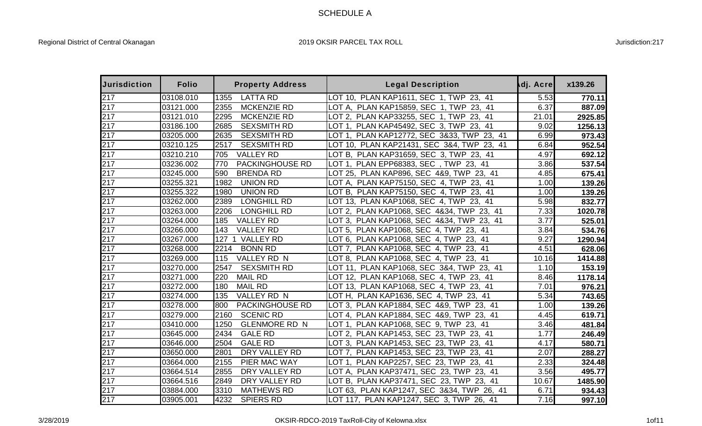## SCHEDULE A

| <b>Jurisdiction</b> | <b>Folio</b> | <b>Property Address</b>      | <b>Legal Description</b>                   | dj. Acre | x139.26 |
|---------------------|--------------|------------------------------|--------------------------------------------|----------|---------|
| 217                 | 03108.010    | <b>LATTA RD</b><br>1355      | LOT 10, PLAN KAP1611, SEC 1, TWP 23, 41    | 5.53     | 770.11  |
| 217                 | 03121.000    | 2355<br><b>MCKENZIE RD</b>   | LOT A, PLAN KAP15859, SEC 1, TWP 23, 41    | 6.37     | 887.09  |
| 217                 | 03121.010    | 2295<br><b>MCKENZIE RD</b>   | LOT 2, PLAN KAP33255, SEC 1, TWP 23, 41    | 21.01    | 2925.85 |
| 217                 | 03186.100    | 2685<br><b>SEXSMITH RD</b>   | LOT 1, PLAN KAP45492, SEC 3, TWP 23, 41    | 9.02     | 1256.13 |
| 217                 | 03205.000    | 2635<br><b>SEXSMITH RD</b>   | LOT 1, PLAN KAP12772, SEC 3&33, TWP 23, 41 | 6.99     | 973.43  |
| 217                 | 03210.125    | <b>SEXSMITH RD</b><br>2517   | LOT 10, PLAN KAP21431, SEC 3&4, TWP 23, 41 | 6.84     | 952.54  |
| 217                 | 03210.210    | 705<br><b>VALLEY RD</b>      | LOT B, PLAN KAP31659, SEC 3, TWP 23, 41    | 4.97     | 692.12  |
| 217                 | 03236.002    | 770<br>PACKINGHOUSE RD       | LOT 1, PLAN EPP68383, SEC, TWP 23, 41      | 3.86     | 537.54  |
| 217                 | 03245.000    | 590<br><b>BRENDA RD</b>      | LOT 25, PLAN KAP896, SEC 4&9, TWP 23, 41   | 4.85     | 675.41  |
| 217                 | 03255.321    | 1982<br><b>UNION RD</b>      | LOT A, PLAN KAP75150, SEC 4, TWP 23, 41    | 1.00     | 139.26  |
| 217                 | 03255.322    | <b>UNION RD</b><br>1980      | LOT B, PLAN KAP75150, SEC 4, TWP 23, 41    | 1.00     | 139.26  |
| 217                 | 03262.000    | 2389<br>LONGHILL RD          | LOT 13, PLAN KAP1068, SEC 4, TWP 23, 41    | 5.98     | 832.77  |
| 217                 | 03263.000    | <b>LONGHILL RD</b><br>2206   | LOT 2, PLAN KAP1068, SEC 4&34, TWP 23, 41  | 7.33     | 1020.78 |
| 217                 | 03264.000    | <b>VALLEY RD</b><br>185      | LOT 3, PLAN KAP1068, SEC 4&34, TWP 23, 41  | 3.77     | 525.01  |
| 217                 | 03266.000    | <b>VALLEY RD</b><br>143      | LOT 5, PLAN KAP1068, SEC 4, TWP 23, 41     | 3.84     | 534.76  |
| 217                 | 03267.000    | <b>VALLEY RD</b><br>127      | LOT 6, PLAN KAP1068, SEC 4, TWP 23, 41     | 9.27     | 1290.94 |
| 217                 | 03268.000    | <b>BONN RD</b><br>2214       | LOT 7, PLAN KAP1068, SEC 4, TWP 23, 41     | 4.51     | 628.06  |
| 217                 | 03269.000    | VALLEY RD N<br>115           | LOT 8, PLAN KAP1068, SEC 4, TWP 23, 41     | 10.16    | 1414.88 |
| 217                 | 03270.000    | <b>SEXSMITH RD</b><br>2547   | LOT 11, PLAN KAP1068, SEC 3&4, TWP 23, 41  | 1.10     | 153.19  |
| 217                 | 03271.000    | 220<br><b>MAIL RD</b>        | LOT 12, PLAN KAP1068, SEC 4, TWP 23, 41    | 8.46     | 1178.14 |
| 217                 | 03272.000    | 180<br><b>MAIL RD</b>        | LOT 13, PLAN KAP1068, SEC 4, TWP 23, 41    | 7.01     | 976.21  |
| 217                 | 03274.000    | VALLEY RD N<br>135           | LOT H, PLAN KAP1636, SEC 4, TWP 23, 41     | 5.34     | 743.65  |
| 217                 | 03278.000    | 800<br>PACKINGHOUSE RD       | LOT 3, PLAN KAP1884, SEC 4&9, TWP 23, 41   | 1.00     | 139.26  |
| 217                 | 03279.000    | <b>SCENIC RD</b><br>2160     | LOT 4, PLAN KAP1884, SEC 4&9, TWP 23, 41   | 4.45     | 619.71  |
| 217                 | 03410.000    | <b>GLENMORE RD N</b><br>1250 | LOT 1, PLAN KAP1068, SEC 9, TWP 23, 41     | 3.46     | 481.84  |
| 217                 | 03645.000    | <b>GALE RD</b><br>2434       | LOT 2, PLAN KAP1453, SEC 23, TWP 23, 41    | 1.77     | 246.49  |
| 217                 | 03646.000    | 2504<br><b>GALE RD</b>       | LOT 3, PLAN KAP1453, SEC 23, TWP 23, 41    | 4.17     | 580.71  |
| 217                 | 03650.000    | 2801<br>DRY VALLEY RD        | LOT 7, PLAN KAP1453, SEC 23, TWP 23, 41    | 2.07     | 288.27  |
| 217                 | 03664.000    | <b>PIER MAC WAY</b><br>2155  | LOT 1, PLAN KAP2257, SEC 23, TWP 23, 41    | 2.33     | 324.48  |
| 217                 | 03664.514    | 2855<br>DRY VALLEY RD        | LOT A, PLAN KAP37471, SEC 23, TWP 23, 41   | 3.56     | 495.77  |
| 217                 | 03664.516    | 2849<br>DRY VALLEY RD        | LOT B, PLAN KAP37471, SEC 23, TWP 23, 41   | 10.67    | 1485.90 |
| 217                 | 03884.000    | 3310<br><b>MATHEWS RD</b>    | LOT 63, PLAN KAP1247, SEC 3&34, TWP 26, 41 | 6.71     | 934.43  |
| 217                 | 03905.001    | 4232<br><b>SPIERS RD</b>     | LOT 117, PLAN KAP1247, SEC 3, TWP 26, 41   | 7.16     | 997.10  |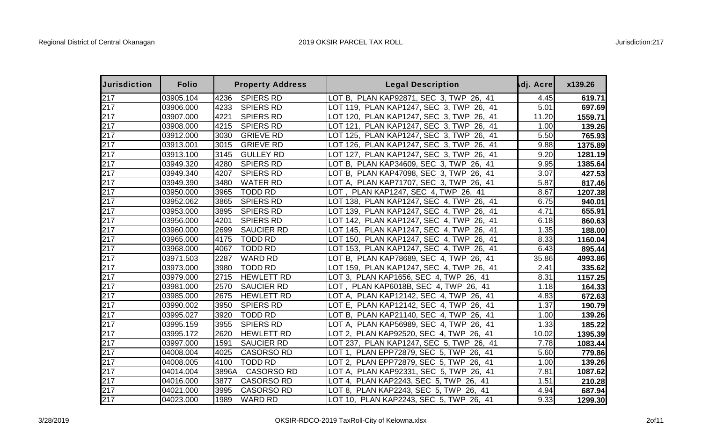| <b>Jurisdiction</b> | <b>Folio</b> |       | <b>Property Address</b> | <b>Legal Description</b>                    | dj. Acre | x139.26 |
|---------------------|--------------|-------|-------------------------|---------------------------------------------|----------|---------|
| 217                 | 03905.104    | 4236  | <b>SPIERS RD</b>        | LOT B, PLAN KAP92871, SEC 3, TWP 26, 41     | 4.45     | 619.71  |
| 217                 | 03906.000    | 4233  | <b>SPIERS RD</b>        | LOT 119, PLAN KAP1247, SEC 3, TWP<br>26, 41 | 5.01     | 697.69  |
| 217                 | 03907.000    | 4221  | <b>SPIERS RD</b>        | LOT 120, PLAN KAP1247, SEC 3, TWP<br>26, 41 | 11.20    | 1559.71 |
| 217                 | 03908.000    | 4215  | <b>SPIERS RD</b>        | LOT 121, PLAN KAP1247, SEC 3, TWP<br>26, 41 | 1.00     | 139.26  |
| 217                 | 03912.000    | 3030  | <b>GRIEVE RD</b>        | LOT 125, PLAN KAP1247, SEC 3, TWP<br>26, 41 | 5.50     | 765.93  |
| 217                 | 03913.001    | 3015  | <b>GRIEVE RD</b>        | LOT 126, PLAN KAP1247, SEC 3, TWP<br>26, 41 | 9.88     | 1375.89 |
| 217                 | 03913.100    | 3145  | <b>GULLEY RD</b>        | LOT 127, PLAN KAP1247, SEC 3, TWP 26, 41    | 9.20     | 1281.19 |
| 217                 | 03949.320    | 4280  | <b>SPIERS RD</b>        | LOT B, PLAN KAP34609, SEC 3, TWP<br>26, 41  | 9.95     | 1385.64 |
| 217                 | 03949.340    | 4207  | <b>SPIERS RD</b>        | LOT B, PLAN KAP47098, SEC 3, TWP 26, 41     | 3.07     | 427.53  |
| 217                 | 03949.390    | 3480  | <b>WATER RD</b>         | LOT A, PLAN KAP71707, SEC 3, TWP 26, 41     | 5.87     | 817.46  |
| 217                 | 03950.000    | 3965  | <b>TODD RD</b>          | LOT, PLAN KAP1247, SEC 4, TWP 26, 41        | 8.67     | 1207.38 |
| 217                 | 03952.062    | 3865  | <b>SPIERS RD</b>        | LOT 138, PLAN KAP1247, SEC 4, TWP 26, 41    | 6.75     | 940.01  |
| 217                 | 03953.000    | 3895  | <b>SPIERS RD</b>        | LOT 139, PLAN KAP1247, SEC 4, TWP<br>26, 41 | 4.71     | 655.91  |
| 217                 | 03956.000    | 4201  | <b>SPIERS RD</b>        | LOT 142, PLAN KAP1247, SEC 4, TWP 26, 41    | 6.18     | 860.63  |
| 217                 | 03960.000    | 2699  | <b>SAUCIER RD</b>       | LOT 145, PLAN KAP1247, SEC 4, TWP<br>26, 41 | 1.35     | 188.00  |
| 217                 | 03965.000    | 4175  | <b>TODD RD</b>          | LOT 150, PLAN KAP1247, SEC 4, TWP<br>26, 41 | 8.33     | 1160.04 |
| 217                 | 03968.000    | 4067  | <b>TODD RD</b>          | LOT 153, PLAN KAP1247, SEC 4, TWP<br>26, 41 | 6.43     | 895.44  |
| 217                 | 03971.503    | 2287  | <b>WARD RD</b>          | LOT B, PLAN KAP78689, SEC 4, TWP 26, 41     | 35.86    | 4993.86 |
| 217                 | 03973.000    | 3980  | <b>TODD RD</b>          | LOT 159, PLAN KAP1247, SEC 4, TWP 26, 41    | 2.41     | 335.62  |
| 217                 | 03979.000    | 2715  | <b>HEWLETT RD</b>       | LOT 3, PLAN KAP1656, SEC 4, TWP 26, 41      | 8.31     | 1157.25 |
| 217                 | 03981.000    | 2570  | <b>SAUCIER RD</b>       | LOT, PLAN KAP6018B, SEC 4, TWP 26, 41       | 1.18     | 164.33  |
| 217                 | 03985.000    | 2675  | <b>HEWLETT RD</b>       | LOT A, PLAN KAP12142, SEC 4, TWP 26, 41     | 4.83     | 672.63  |
| 217                 | 03990.002    | 3950  | <b>SPIERS RD</b>        | LOT E, PLAN KAP12142, SEC 4, TWP 26, 41     | 1.37     | 190.79  |
| 217                 | 03995.027    | 3920  | <b>TODD RD</b>          | LOT B, PLAN KAP21140, SEC 4, TWP 26, 41     | 1.00     | 139.26  |
| 217                 | 03995.159    | 3955  | <b>SPIERS RD</b>        | LOT A, PLAN KAP56989, SEC 4, TWP 26, 41     | 1.33     | 185.22  |
| 217                 | 03995.172    | 2620  | <b>HEWLETT RD</b>       | LOT 2, PLAN KAP92520, SEC 4, TWP 26, 41     | 10.02    | 1395.39 |
| 217                 | 03997.000    | 1591  | <b>SAUCIER RD</b>       | LOT 237, PLAN KAP1247, SEC 5, TWP 26, 41    | 7.78     | 1083.44 |
| 217                 | 04008.004    | 4025  | <b>CASORSO RD</b>       | LOT 1, PLAN EPP72879, SEC 5, TWP<br>26, 41  | 5.60     | 779.86  |
| 217                 | 04008.005    | 4100  | <b>TODD RD</b>          | LOT 2, PLAN EPP72879, SEC 5, TWP 26, 41     | 1.00     | 139.26  |
| 217                 | 04014.004    | 3896A | <b>CASORSO RD</b>       | LOT A, PLAN KAP92331, SEC 5, TWP 26, 41     | 7.81     | 1087.62 |
| 217                 | 04016.000    | 3877  | <b>CASORSO RD</b>       | LOT 4, PLAN KAP2243, SEC 5, TWP<br>26, 41   | 1.51     | 210.28  |
| 217                 | 04021.000    | 3995  | <b>CASORSO RD</b>       | LOT 8, PLAN KAP2243, SEC 5, TWP 26, 41      | 4.94     | 687.94  |
| 217                 | 04023.000    | 1989  | <b>WARD RD</b>          | LOT 10, PLAN KAP2243, SEC 5, TWP 26, 41     | 9.33     | 1299.30 |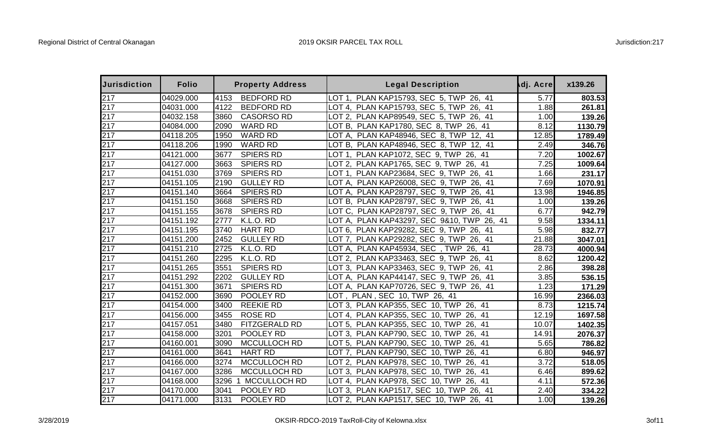| <b>Jurisdiction</b> | <b>Folio</b> |      | <b>Property Address</b> | <b>Legal Description</b>                   | dj. Acre | x139.26 |
|---------------------|--------------|------|-------------------------|--------------------------------------------|----------|---------|
| 217                 | 04029.000    | 4153 | <b>BEDFORD RD</b>       | PLAN KAP15793, SEC 5, TWP 26, 41<br>LOT 1. | 5.77     | 803.53  |
| 217                 | 04031.000    | 4122 | <b>BEDFORD RD</b>       | LOT 4, PLAN KAP15793, SEC 5, TWP 26, 41    | 1.88     | 261.81  |
| 217                 | 04032.158    | 3860 | <b>CASORSO RD</b>       | LOT 2, PLAN KAP89549, SEC 5, TWP 26, 41    | 1.00     | 139.26  |
| 217                 | 04084.000    | 2090 | <b>WARD RD</b>          | LOT B, PLAN KAP1780, SEC 8, TWP 26, 41     | 8.12     | 1130.79 |
| 217                 | 04118.205    | 1950 | <b>WARD RD</b>          | LOT A, PLAN KAP48946, SEC 8, TWP 12, 41    | 12.85    | 1789.49 |
| 217                 | 04118.206    | 1990 | <b>WARD RD</b>          | LOT B, PLAN KAP48946, SEC 8, TWP 12, 41    | 2.49     | 346.76  |
| 217                 | 04121.000    | 3677 | <b>SPIERS RD</b>        | LOT 1, PLAN KAP1072, SEC 9, TWP 26, 41     | 7.20     | 1002.67 |
| 217                 | 04127.000    | 3663 | <b>SPIERS RD</b>        | LOT 2, PLAN KAP1765, SEC 9, TWP 26, 41     | 7.25     | 1009.64 |
| 217                 | 04151.030    | 3769 | <b>SPIERS RD</b>        | LOT 1, PLAN KAP23684, SEC 9, TWP 26, 41    | 1.66     | 231.17  |
| 217                 | 04151.105    | 2190 | <b>GULLEY RD</b>        | LOT A, PLAN KAP26008, SEC 9, TWP 26, 41    | 7.69     | 1070.91 |
| 217                 | 04151.140    | 3664 | <b>SPIERS RD</b>        | LOT A, PLAN KAP28797, SEC 9, TWP 26, 41    | 13.98    | 1946.85 |
| 217                 | 04151.150    | 3668 | <b>SPIERS RD</b>        | LOT B, PLAN KAP28797, SEC 9, TWP 26, 41    | 1.00     | 139.26  |
| 217                 | 04151.155    | 3678 | <b>SPIERS RD</b>        | LOT C, PLAN KAP28797, SEC 9, TWP 26, 41    | 6.77     | 942.79  |
| 217                 | 04151.192    | 2777 | K.L.O. RD               | LOT A, PLAN KAP43297, SEC 9&10, TWP 26, 41 | 9.58     | 1334.11 |
| 217                 | 04151.195    | 3740 | <b>HART RD</b>          | LOT 6, PLAN KAP29282, SEC 9, TWP 26, 41    | 5.98     | 832.77  |
| 217                 | 04151.200    | 2452 | <b>GULLEY RD</b>        | LOT 7, PLAN KAP29282, SEC 9, TWP 26, 41    | 21.88    | 3047.01 |
| 217                 | 04151.210    | 2725 | K.L.O. RD               | LOT A, PLAN KAP45934, SEC, TWP 26, 41      | 28.73    | 4000.94 |
| 217                 | 04151.260    | 2295 | K.L.O. RD               | LOT 2, PLAN KAP33463, SEC 9, TWP 26, 41    | 8.62     | 1200.42 |
| 217                 | 04151.265    | 3551 | <b>SPIERS RD</b>        | LOT 3, PLAN KAP33463, SEC 9, TWP 26,<br>41 | 2.86     | 398.28  |
| 217                 | 04151.292    | 2202 | <b>GULLEY RD</b>        | LOT A, PLAN KAP44147, SEC 9, TWP<br>26, 41 | 3.85     | 536.15  |
| 217                 | 04151.300    | 3671 | <b>SPIERS RD</b>        | LOT A, PLAN KAP70726, SEC 9, TWP 26, 41    | 1.23     | 171.29  |
| 217                 | 04152.000    | 3690 | POOLEY RD               | LOT, PLAN, SEC 10, TWP 26, 41              | 16.99    | 2366.03 |
| 217                 | 04154.000    | 3400 | <b>REEKIE RD</b>        | LOT 3, PLAN KAP355, SEC 10, TWP 26, 41     | 8.73     | 1215.74 |
| 217                 | 04156.000    | 3455 | <b>ROSE RD</b>          | LOT 4, PLAN KAP355, SEC 10, TWP<br>26, 41  | 12.19    | 1697.58 |
| 217                 | 04157.051    | 3480 | FITZGERALD RD           | LOT 5, PLAN KAP355, SEC 10, TWP 26, 41     | 10.07    | 1402.35 |
| 217                 | 04158.000    | 3201 | POOLEY RD               | LOT 3, PLAN KAP790, SEC 10, TWP<br>26, 41  | 14.91    | 2076.37 |
| 217                 | 04160.001    | 3090 | MCCULLOCH RD            | LOT 5, PLAN KAP790, SEC 10, TWP<br>26, 41  | 5.65     | 786.82  |
| 217                 | 04161.000    | 3641 | <b>HART RD</b>          | LOT 7, PLAN KAP790, SEC 10, TWP<br>26, 41  | 6.80     | 946.97  |
| 217                 | 04166.000    | 3274 | MCCULLOCH RD            | LOT 2, PLAN KAP978, SEC 10, TWP<br>26, 41  | 3.72     | 518.05  |
| 217                 | 04167.000    | 3286 | MCCULLOCH RD            | LOT 3, PLAN KAP978, SEC 10, TWP<br>26, 41  | 6.46     | 899.62  |
| 217                 | 04168.000    | 3296 | 1 MCCULLOCH RD          | LOT 4, PLAN KAP978, SEC 10, TWP<br>26, 41  | 4.11     | 572.36  |
| 217                 | 04170.000    | 3041 | POOLEY RD               | LOT 3, PLAN KAP1517, SEC 10, TWP 26, 41    | 2.40     | 334.22  |
| 217                 | 04171.000    | 3131 | POOLEY RD               | LOT 2, PLAN KAP1517, SEC 10, TWP 26, 41    | 1.00     | 139.26  |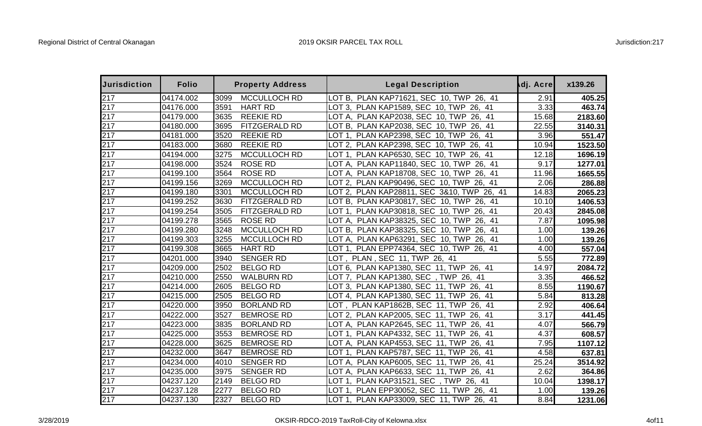| <b>Jurisdiction</b> | <b>Folio</b> |      | <b>Property Address</b> | <b>Legal Description</b>                              | dj. Acre | x139.26 |
|---------------------|--------------|------|-------------------------|-------------------------------------------------------|----------|---------|
| 217                 | 04174.002    | 3099 | MCCULLOCH RD            | LOT B.<br>PLAN KAP71621, SEC 10, TWP 26, 41           | 2.91     | 405.25  |
| 217                 | 04176.000    | 3591 | <b>HART RD</b>          | LOT 3, PLAN KAP1589, SEC 10, TWP 26, 41               | 3.33     | 463.74  |
| 217                 | 04179.000    | 3635 | <b>REEKIE RD</b>        | LOT A, PLAN KAP2038, SEC 10, TWP<br>26.<br>41         | 15.68    | 2183.60 |
| 217                 | 04180.000    | 3695 | FITZGERALD RD           | LOT B, PLAN KAP2038, SEC 10, TWP<br>26,<br>41         | 22.55    | 3140.31 |
| 217                 | 04181.000    | 3520 | <b>REEKIE RD</b>        | PLAN KAP2398, SEC 10, TWP<br>LOT 1<br>26.<br>41       | 3.96     | 551.47  |
| 217                 | 04183.000    | 3680 | <b>REEKIE RD</b>        | LOT 2, PLAN KAP2398, SEC 10, TWP 26, 41               | 10.94    | 1523.50 |
| 217                 | 04194.000    | 3275 | MCCULLOCH RD            | PLAN KAP6530, SEC 10, TWP 26, 41<br>LOT 1.            | 12.18    | 1696.19 |
| 217                 | 04198.000    | 3524 | <b>ROSE RD</b>          | LOT A, PLAN KAP11840, SEC 10, TWP 26, 41              | 9.17     | 1277.01 |
| 217                 | 04199.100    | 3564 | <b>ROSE RD</b>          | LOT A, PLAN KAP18708, SEC 10, TWP<br>26, 41           | 11.96    | 1665.55 |
| 217                 | 04199.156    | 3269 | MCCULLOCH RD            | LOT 2, PLAN KAP90496, SEC 10, TWP<br>26, 41           | 2.06     | 286.88  |
| 217                 | 04199.180    | 3301 | <b>MCCULLOCH RD</b>     | LOT 2, PLAN KAP28811, SEC 3&10, TWP 26, 41            | 14.83    | 2065.23 |
| 217                 | 04199.252    | 3630 | FITZGERALD RD           | LOT B, PLAN KAP30817, SEC 10, TWP 26, 41              | 10.10    | 1406.53 |
| 217                 | 04199.254    | 3505 | FITZGERALD RD           | PLAN KAP30818, SEC 10, TWP<br>LOT 1.<br>26, 41        | 20.43    | 2845.08 |
| 217                 | 04199.278    | 3565 | <b>ROSE RD</b>          | LOT A, PLAN KAP38325, SEC 10, TWP 26, 41              | 7.87     | 1095.98 |
| 217                 | 04199.280    | 3248 | MCCULLOCH RD            | LOT B, PLAN KAP38325, SEC 10, TWP<br>26, 41           | 1.00     | 139.26  |
| 217                 | 04199.303    | 3255 | MCCULLOCH RD            | PLAN KAP63291, SEC 10, TWP 26, 41<br>LOT A.           | 1.00     | 139.26  |
| 217                 | 04199.308    | 3665 | <b>HART RD</b>          | PLAN EPP74364, SEC 10, TWP 26, 41<br>LOT 1.           | 4.00     | 557.04  |
| 217                 | 04201.000    | 3940 | <b>SENGER RD</b>        | LOT, PLAN, SEC 11, TWP 26, 41                         | 5.55     | 772.89  |
| 217                 | 04209.000    | 2502 | <b>BELGO RD</b>         | LOT 6, PLAN KAP1380, SEC 11, TWP 26, 41               | 14.97    | 2084.72 |
| 217                 | 04210.000    | 2550 | <b>WALBURN RD</b>       | PLAN KAP1380, SEC, TWP 26, 41<br>LOT 7.               | 3.35     | 466.52  |
| 217                 | 04214.000    | 2605 | <b>BELGO RD</b>         | LOT 3, PLAN KAP1380, SEC 11, TWP 26, 41               | 8.55     | 1190.67 |
| 217                 | 04215.000    | 2505 | <b>BELGO RD</b>         | LOT 4, PLAN KAP1380, SEC 11, TWP 26,<br>41            | 5.84     | 813.28  |
| 217                 | 04220.000    | 3950 | <b>BORLAND RD</b>       | LOT, PLAN KAP1862B, SEC 11, TWP<br>26, 41             | 2.92     | 406.64  |
| 217                 | 04222.000    | 3527 | <b>BEMROSE RD</b>       | LOT 2, PLAN KAP2005, SEC 11, TWP<br>26, 41            | 3.17     | 441.45  |
| 217                 | 04223.000    | 3835 | <b>BORLAND RD</b>       | LOT A, PLAN KAP2645, SEC 11, TWP<br>26, 41            | 4.07     | 566.79  |
| 217                 | 04225.000    | 3553 | <b>BEMROSE RD</b>       | LOT 1, PLAN KAP4332, SEC 11, TWP<br>26.<br>41         | 4.37     | 608.57  |
| 217                 | 04228.000    | 3625 | <b>BEMROSE RD</b>       | LOT A, PLAN KAP4553, SEC 11, TWP<br>26.<br>41         | 7.95     | 1107.12 |
| 217                 | 04232.000    | 3647 | <b>BEMROSE RD</b>       | PLAN KAP5787, SEC 11, TWP<br>LOT 1.<br>26.<br>-41     | 4.58     | 637.81  |
| 217                 | 04234.000    | 4010 | <b>SENGER RD</b>        | LOT A, PLAN KAP6005, SEC 11, TWP<br>26, 41            | 25.24    | 3514.92 |
| 217                 | 04235.000    | 3975 | <b>SENGER RD</b>        | LOT A, PLAN KAP6633, SEC 11, TWP<br>26, 41            | 2.62     | 364.86  |
| 217                 | 04237.120    | 2149 | <b>BELGO RD</b>         | PLAN KAP31521, SEC, TWP<br>26, 41<br>LOT 1.           | 10.04    | 1398.17 |
| 217                 | 04237.128    | 2277 | <b>BELGO RD</b>         | <b>PLAN EPP30052, SEC 11, TWP</b><br>LOT 1.<br>26, 41 | 1.00     | 139.26  |
| 217                 | 04237.130    | 2327 | <b>BELGO RD</b>         | LOT 1, PLAN KAP33009, SEC 11, TWP 26, 41              | 8.84     | 1231.06 |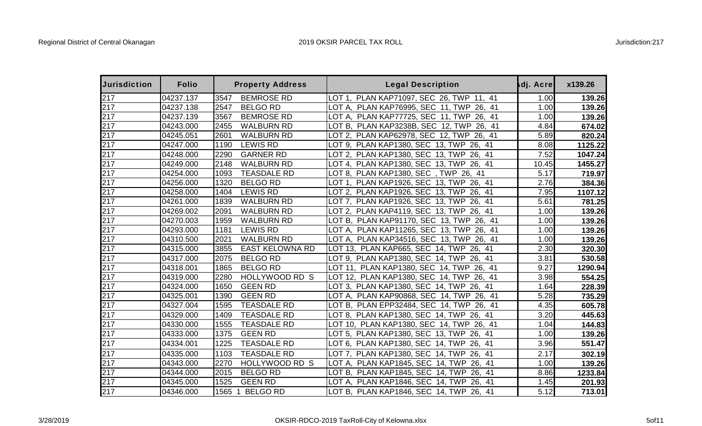| <b>Jurisdiction</b> | <b>Folio</b> |        | <b>Property Address</b> | <b>Legal Description</b>                       | dj. Acre | x139.26 |
|---------------------|--------------|--------|-------------------------|------------------------------------------------|----------|---------|
| 217                 | 04237.137    | 3547   | <b>BEMROSE RD</b>       | LOT 1, PLAN KAP71097, SEC 26, TWP 11, 41       | 1.00     | 139.26  |
| 217                 | 04237.138    | 2547   | <b>BELGO RD</b>         | LOT A, PLAN KAP76995, SEC 11, TWP 26, 41       | 1.00     | 139.26  |
| 217                 | 04237.139    | 3567   | <b>BEMROSE RD</b>       | LOT A, PLAN KAP77725, SEC 11, TWP<br>26, 41    | 1.00     | 139.26  |
| 217                 | 04243.000    | 2455   | <b>WALBURN RD</b>       | LOT B, PLAN KAP3238B, SEC 12, TWP 26, 41       | 4.84     | 674.02  |
| 217                 | 04245.051    | 2601   | <b>WALBURN RD</b>       | LOT 2, PLAN KAP62978, SEC 12, TWP<br>26, 41    | 5.89     | 820.24  |
| 217                 | 04247.000    | 1190   | <b>LEWIS RD</b>         | LOT 9, PLAN KAP1380, SEC 13, TWP<br>26, 41     | 8.08     | 1125.22 |
| 217                 | 04248.000    | 2290   | <b>GARNER RD</b>        | LOT 2, PLAN KAP1380, SEC 13, TWP 26, 41        | 7.52     | 1047.24 |
| 217                 | 04249.000    | 2148   | <b>WALBURN RD</b>       | LOT 4, PLAN KAP1380, SEC 13, TWP 26, 41        | 10.45    | 1455.27 |
| 217                 | 04254.000    | 1093   | <b>TEASDALE RD</b>      | LOT 8, PLAN KAP1380, SEC, TWP 26, 41           | 5.17     | 719.97  |
| 217                 | 04256.000    | 1320   | <b>BELGO RD</b>         | LOT 1, PLAN KAP1926, SEC 13, TWP 26, 41        | 2.76     | 384.36  |
| 217                 | 04258.000    | 1404   | <b>LEWIS RD</b>         | LOT 2, PLAN KAP1926, SEC 13, TWP<br>26, 41     | 7.95     | 1107.12 |
| 217                 | 04261.000    | 1839   | <b>WALBURN RD</b>       | LOT 7, PLAN KAP1926, SEC 13, TWP 26, 41        | 5.61     | 781.25  |
| 217                 | 04269.002    | 2091   | <b>WALBURN RD</b>       | LOT 2, PLAN KAP4119, SEC 13, TWP 26, 41        | 1.00     | 139.26  |
| 217                 | 04270.003    | 1959   | <b>WALBURN RD</b>       | LOT B, PLAN KAP91170, SEC 13, TWP<br>26, 41    | 1.00     | 139.26  |
| 217                 | 04293.000    | 1181   | <b>LEWIS RD</b>         | LOT A, PLAN KAP11265, SEC 13, TWP<br>26, 41    | 1.00     | 139.26  |
| 217                 | 04310.500    | 2021   | <b>WALBURN RD</b>       | LOT A, PLAN KAP34516, SEC 13, TWP 26, 41       | 1.00     | 139.26  |
| 217                 | 04315.000    | 3855   | <b>EAST KELOWNA RD</b>  | LOT 13, PLAN KAP665, SEC 14, TWP 26, 41        | 2.30     | 320.30  |
| 217                 | 04317.000    | 2075   | <b>BELGO RD</b>         | LOT 9, PLAN KAP1380, SEC 14, TWP 26, 41        | 3.81     | 530.58  |
| 217                 | 04318.001    | 1865   | <b>BELGO RD</b>         | LOT 11, PLAN KAP1380, SEC 14, TWP 26, 41       | 9.27     | 1290.94 |
| 217                 | 04319.000    | 2280   | HOLLYWOOD RD S          | LOT 12, PLAN KAP1380, SEC 14, TWP 26, 41       | 3.98     | 554.25  |
| 217                 | 04324.000    | 1650   | <b>GEEN RD</b>          | LOT 3, PLAN KAP1380, SEC 14, TWP 26, 41        | 1.64     | 228.39  |
| 217                 | 04325.001    | 1390   | <b>GEEN RD</b>          | LOT A, PLAN KAP90868, SEC 14, TWP 26, 41       | 5.28     | 735.29  |
| 217                 | 04327.004    | 1595   | <b>TEASDALE RD</b>      | LOT B, PLAN EPP32484, SEC 14, TWP 26, 41       | 4.35     | 605.78  |
| 217                 | 04329.000    | 1409   | <b>TEASDALE RD</b>      | LOT 8, PLAN KAP1380, SEC 14, TWP 26, 41        | 3.20     | 445.63  |
| 217                 | 04330.000    | 1555   | <b>TEASDALE RD</b>      | LOT 10, PLAN KAP1380, SEC 14, TWP 26, 41       | 1.04     | 144.83  |
| 217                 | 04333.000    | 1375   | <b>GEEN RD</b>          | LOT 5, PLAN KAP1380, SEC 13, TWP<br>26, 41     | 1.00     | 139.26  |
| 217                 | 04334.001    | 1225   | <b>TEASDALE RD</b>      | LOT 6, PLAN KAP1380, SEC 14, TWP<br>26, 41     | 3.96     | 551.47  |
| 217                 | 04335.000    | 1103   | <b>TEASDALE RD</b>      | LOT 7, PLAN KAP1380, SEC 14, TWP<br>26.<br>-41 | 2.17     | 302.19  |
| 217                 | 04343.000    | 2270   | HOLLYWOOD RD S          | LOT A, PLAN KAP1845, SEC 14, TWP<br>26, 41     | 1.00     | 139.26  |
| 217                 | 04344.000    | 2015   | <b>BELGO RD</b>         | LOT B, PLAN KAP1845, SEC 14, TWP<br>26,<br>41  | 8.86     | 1233.84 |
| 217                 | 04345.000    | 1525   | <b>GEEN RD</b>          | PLAN KAP1846, SEC 14, TWP<br>26, 41<br>LOT A.  | 1.45     | 201.93  |
| 217                 | 04346.000    | 1565 1 | <b>BELGO RD</b>         | LOT B, PLAN KAP1846, SEC 14, TWP 26, 41        | 5.12     | 713.01  |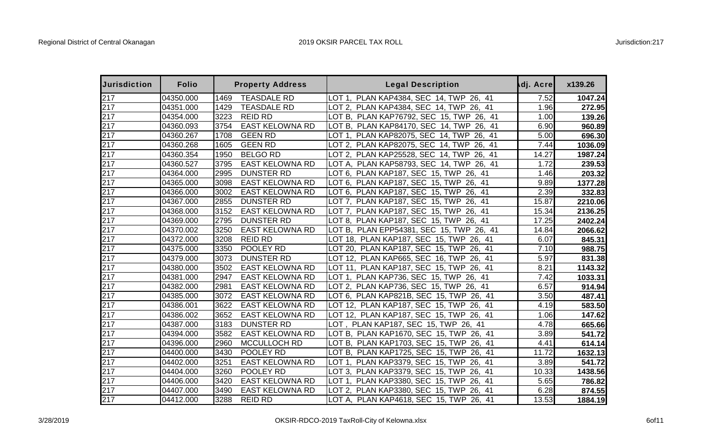| <b>Jurisdiction</b> | <b>Folio</b> |      | <b>Property Address</b> | <b>Legal Description</b>                        | dj. Acre | x139.26 |
|---------------------|--------------|------|-------------------------|-------------------------------------------------|----------|---------|
| 217                 | 04350.000    | 1469 | <b>TEASDALE RD</b>      | PLAN KAP4384, SEC 14, TWP 26, 41<br>LOT 1.      | 7.52     | 1047.24 |
| 217                 | 04351.000    | 1429 | <b>TEASDALE RD</b>      | LOT 2, PLAN KAP4384, SEC 14, TWP 26, 41         | 1.96     | 272.95  |
| 217                 | 04354.000    | 3223 | <b>REID RD</b>          | LOT B, PLAN KAP76792, SEC 15, TWP 26, 41        | 1.00     | 139.26  |
| 217                 | 04360.093    | 3754 | <b>EAST KELOWNA RD</b>  | LOT B, PLAN KAP84170, SEC 14, TWP<br>26,<br>-41 | 6.90     | 960.89  |
| 217                 | 04360.267    | 1708 | <b>GEEN RD</b>          | LOT 1, PLAN KAP82075, SEC 14, TWP<br>26, 41     | 5.00     | 696.30  |
| 217                 | 04360.268    | 1605 | <b>GEEN RD</b>          | LOT 2, PLAN KAP82075, SEC 14, TWP<br>26, 41     | 7.44     | 1036.09 |
| 217                 | 04360.354    | 1950 | <b>BELGO RD</b>         | LOT 2, PLAN KAP25528, SEC 14, TWP<br>26, 41     | 14.27    | 1987.24 |
| 217                 | 04360.527    | 3795 | <b>EAST KELOWNA RD</b>  | LOT A, PLAN KAP58793, SEC 14, TWP 26, 41        | 1.72     | 239.53  |
| 217                 | 04364.000    | 2995 | <b>DUNSTER RD</b>       | LOT 6, PLAN KAP187, SEC 15, TWP<br>26, 41       | 1.46     | 203.32  |
| 217                 | 04365.000    | 3098 | <b>EAST KELOWNA RD</b>  | LOT 6, PLAN KAP187, SEC 15, TWP<br>26, 41       | 9.89     | 1377.28 |
| 217                 | 04366.000    | 3002 | <b>EAST KELOWNA RD</b>  | LOT 6, PLAN KAP187, SEC 15, TWP<br>41<br>26.    | 2.39     | 332.83  |
| 217                 | 04367.000    | 2855 | <b>DUNSTER RD</b>       | LOT 7, PLAN KAP187, SEC 15, TWP<br>41<br>26,    | 15.87    | 2210.06 |
| 217                 | 04368.000    | 3152 | <b>EAST KELOWNA RD</b>  | -41<br>LOT 7, PLAN KAP187, SEC 15, TWP<br>26.   | 15.34    | 2136.25 |
| 217                 | 04369.000    | 2795 | <b>DUNSTER RD</b>       | LOT 8, PLAN KAP187, SEC 15, TWP<br>26, 41       | 17.25    | 2402.24 |
| 217                 | 04370.002    | 3250 | <b>EAST KELOWNA RD</b>  | LOT B, PLAN EPP54381, SEC 15, TWP 26, 41        | 14.84    | 2066.62 |
| 217                 | 04372.000    | 3208 | <b>REID RD</b>          | LOT 18, PLAN KAP187, SEC 15, TWP 26, 41         | 6.07     | 845.31  |
| 217                 | 04375.000    | 3350 | POOLEY RD               | LOT 20, PLAN KAP187, SEC 15, TWP<br>26, 41      | 7.10     | 988.75  |
| 217                 | 04379.000    | 3073 | <b>DUNSTER RD</b>       | LOT 12, PLAN KAP665, SEC 16, TWP 26, 41         | 5.97     | 831.38  |
| 217                 | 04380.000    | 3502 | <b>EAST KELOWNA RD</b>  | LOT 11, PLAN KAP187, SEC 15, TWP 26, 41         | 8.21     | 1143.32 |
| 217                 | 04381.000    | 2947 | <b>EAST KELOWNA RD</b>  | LOT 1, PLAN KAP736, SEC 15, TWP<br>26, 41       | 7.42     | 1033.31 |
| 217                 | 04382.000    | 2981 | <b>EAST KELOWNA RD</b>  | LOT 2, PLAN KAP736, SEC 15, TWP<br>26, 41       | 6.57     | 914.94  |
| 217                 | 04385.000    | 3072 | <b>EAST KELOWNA RD</b>  | LOT 6, PLAN KAP821B, SEC 15, TWP 26, 41         | 3.50     | 487.41  |
| 217                 | 04386.001    | 3622 | <b>EAST KELOWNA RD</b>  | LOT 12, PLAN KAP187, SEC 15, TWP<br>26, 41      | 4.19     | 583.50  |
| 217                 | 04386.002    | 3652 | <b>EAST KELOWNA RD</b>  | LOT 12, PLAN KAP187, SEC 15, TWP 26, 41         | 1.06     | 147.62  |
| 217                 | 04387.000    | 3183 | <b>DUNSTER RD</b>       | LOT, PLAN KAP187, SEC 15, TWP 26, 41            | 4.78     | 665.66  |
| 217                 | 04394.000    | 3582 | <b>EAST KELOWNA RD</b>  | LOT B, PLAN KAP1670, SEC 15, TWP<br>26, 41      | 3.89     | 541.72  |
| 217                 | 04396.000    | 2960 | MCCULLOCH RD            | LOT B, PLAN KAP1703, SEC 15, TWP<br>26, 41      | 4.41     | 614.14  |
| 217                 | 04400.000    | 3430 | POOLEY RD               | LOT B, PLAN KAP1725, SEC 15, TWP<br>26.<br>41   | 11.72    | 1632.13 |
| 217                 | 04402.000    | 3251 | <b>EAST KELOWNA RD</b>  | LOT 1, PLAN KAP3379, SEC 15, TWP 26, 41         | 3.89     | 541.72  |
| 217                 | 04404.000    | 3260 | POOLEY RD               | LOT 3, PLAN KAP3379, SEC 15, TWP<br>26.<br>41   | 10.33    | 1438.56 |
| 217                 | 04406.000    | 3420 | <b>EAST KELOWNA RD</b>  | LOT 1, PLAN KAP3380, SEC 15, TWP<br>26, 41      | 5.65     | 786.82  |
| 217                 | 04407.000    | 3490 | <b>EAST KELOWNA RD</b>  | LOT 2, PLAN KAP3380, SEC 15, TWP<br>26, 41      | 6.28     | 874.55  |
| 217                 | 04412.000    | 3288 | <b>REID RD</b>          | LOT A, PLAN KAP4618, SEC 15, TWP 26, 41         | 13.53    | 1884.19 |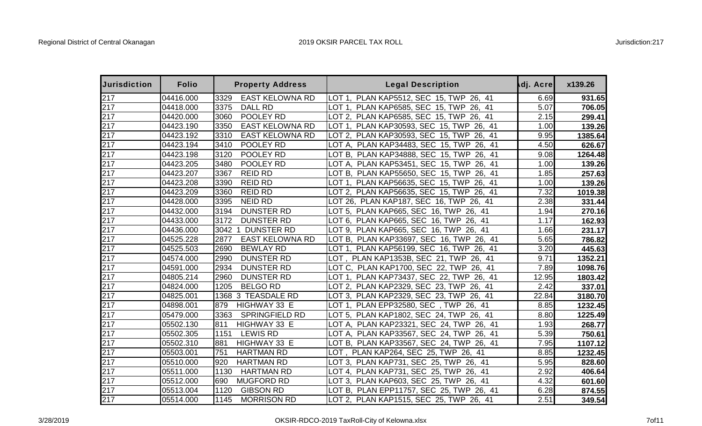| <b>Jurisdiction</b> | <b>Folio</b> | <b>Property Address</b>        | <b>Legal Description</b>                    | dj. Acre | x139.26 |
|---------------------|--------------|--------------------------------|---------------------------------------------|----------|---------|
| 217                 | 04416.000    | 3329<br><b>EAST KELOWNA RD</b> | PLAN KAP5512, SEC 15, TWP 26, 41<br>LOT 1.  | 6.69     | 931.65  |
| 217                 | 04418.000    | 3375<br><b>DALL RD</b>         | LOT 1, PLAN KAP6585, SEC 15, TWP 26, 41     | 5.07     | 706.05  |
| 217                 | 04420.000    | 3060<br>POOLEY RD              | LOT 2, PLAN KAP6585, SEC 15, TWP 26, 41     | 2.15     | 299.41  |
| 217                 | 04423.190    | 3350<br><b>EAST KELOWNA RD</b> | LOT 1, PLAN KAP30593, SEC 15, TWP<br>26, 41 | 1.00     | 139.26  |
| 217                 | 04423.192    | 3310<br><b>EAST KELOWNA RD</b> | LOT 2, PLAN KAP30593, SEC 15, TWP<br>26, 41 | 9.95     | 1385.64 |
| 217                 | 04423.194    | 3410<br>POOLEY RD              | LOT A, PLAN KAP34483, SEC 15, TWP<br>26, 41 | 4.50     | 626.67  |
| 217                 | 04423.198    | POOLEY RD<br>3120              | LOT B, PLAN KAP34888, SEC 15, TWP 26, 41    | 9.08     | 1264.48 |
| 217                 | 04423.205    | 3480<br>POOLEY RD              | LOT A, PLAN KAP53451, SEC 15, TWP 26, 41    | 1.00     | 139.26  |
| 217                 | 04423.207    | 3367<br><b>REID RD</b>         | LOT B, PLAN KAP55650, SEC 15, TWP<br>26, 41 | 1.85     | 257.63  |
| 217                 | 04423.208    | 3390<br><b>REID RD</b>         | LOT 1, PLAN KAP56635, SEC 15, TWP<br>26, 41 | 1.00     | 139.26  |
| 217                 | 04423.209    | 3360<br><b>REID RD</b>         | LOT 2, PLAN KAP56635, SEC 15, TWP<br>26, 41 | 7.32     | 1019.38 |
| 217                 | 04428.000    | 3395<br><b>NEID RD</b>         | LOT 26, PLAN KAP187, SEC 16, TWP 26, 41     | 2.38     | 331.44  |
| 217                 | 04432.000    | 3194<br><b>DUNSTER RD</b>      | LOT 5, PLAN KAP665, SEC 16, TWP 26, 41      | 1.94     | 270.16  |
| 217                 | 04433.000    | 3172<br><b>DUNSTER RD</b>      | LOT 6, PLAN KAP665, SEC 16, TWP<br>26, 41   | 1.17     | 162.93  |
| 217                 | 04436.000    | <b>DUNSTER RD</b><br>3042      | LOT 9, PLAN KAP665, SEC 16, TWP 26, 41      | 1.66     | 231.17  |
| 217                 | 04525.228    | 2877<br><b>EAST KELOWNA RD</b> | LOT B, PLAN KAP33697, SEC 16, TWP 26, 41    | 5.65     | 786.82  |
| 217                 | 04525.503    | 2690<br><b>BEWLAY RD</b>       | PLAN KAP56199, SEC 16, TWP 26, 41<br>LOT 1. | 3.20     | 445.63  |
| 217                 | 04574.000    | 2990<br><b>DUNSTER RD</b>      | LOT, PLAN KAP1353B, SEC 21, TWP 26, 41      | 9.71     | 1352.21 |
| 217                 | 04591.000    | 2934<br><b>DUNSTER RD</b>      | LOT C, PLAN KAP1700, SEC 22, TWP 26, 41     | 7.89     | 1098.76 |
| 217                 | 04805.214    | 2960<br><b>DUNSTER RD</b>      | LOT 1, PLAN KAP73437, SEC 22, TWP<br>26, 41 | 12.95    | 1803.42 |
| 217                 | 04824.000    | 1205<br><b>BELGO RD</b>        | LOT 2, PLAN KAP2329, SEC 23, TWP 26, 41     | 2.42     | 337.01  |
| 217                 | 04825.001    | 1368 3 TEASDALE RD             | LOT 3, PLAN KAP2329, SEC 23, TWP 26, 41     | 22.84    | 3180.70 |
| 217                 | 04898.001    | HIGHWAY 33 E<br>879            | PLAN EPP32580, SEC, TWP<br>LOT 1.<br>26, 41 | 8.85     | 1232.45 |
| 217                 | 05479.000    | 3363<br><b>SPRINGFIELD RD</b>  | LOT 5, PLAN KAP1802, SEC 24, TWP 26, 41     | 8.80     | 1225.49 |
| 217                 | 05502.130    | HIGHWAY 33 E<br>811            | LOT A, PLAN KAP23321, SEC 24, TWP 26, 41    | 1.93     | 268.77  |
| 217                 | 05502.305    | 1151<br><b>LEWIS RD</b>        | LOT A, PLAN KAP33567, SEC 24, TWP 26, 41    | 5.39     | 750.61  |
| 217                 | 05502.310    | 881<br>HIGHWAY 33 E            | LOT B, PLAN KAP33567, SEC 24, TWP 26, 41    | 7.95     | 1107.12 |
| 217                 | 05503.001    | 751<br><b>HARTMAN RD</b>       | LOT, PLAN KAP264, SEC 25, TWP 26, 41        | 8.85     | 1232.45 |
| 217                 | 05510.000    | <b>HARTMAN RD</b><br>920       | LOT 3, PLAN KAP731, SEC 25, TWP 26, 41      | 5.95     | 828.60  |
| $\overline{2}17$    | 05511.000    | 1130<br><b>HARTMAN RD</b>      | LOT 4, PLAN KAP731, SEC 25, TWP<br>26, 41   | 2.92     | 406.64  |
| 217                 | 05512.000    | 690<br><b>MUGFORD RD</b>       | LOT 3, PLAN KAP603, SEC 25, TWP 26, 41      | 4.32     | 601.60  |
| 217                 | 05513.004    | 1120<br><b>GIBSON RD</b>       | LOT B, PLAN EPP11757, SEC 25, TWP 26, 41    | 6.28     | 874.55  |
| 217                 | 05514.000    | 1145<br><b>MORRISON RD</b>     | LOT 2, PLAN KAP1515, SEC 25, TWP 26, 41     | 2.51     | 349.54  |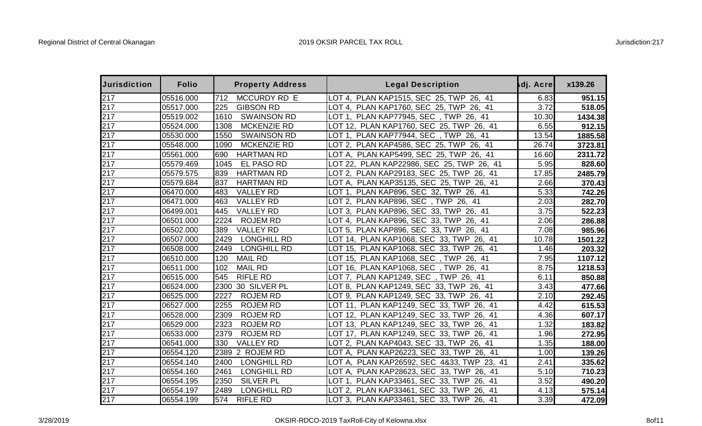| <b>Jurisdiction</b> | <b>Folio</b> | <b>Property Address</b>    | <b>Legal Description</b>                    | dj. Acre | x139.26 |
|---------------------|--------------|----------------------------|---------------------------------------------|----------|---------|
| 217                 | 05516.000    | 712<br>MCCURDY RD E        | LOT 4, PLAN KAP1515, SEC 25, TWP 26, 41     | 6.83     | 951.15  |
| 217                 | 05517.000    | 225<br><b>GIBSON RD</b>    | LOT 4, PLAN KAP1760, SEC 25, TWP 26, 41     | 3.72     | 518.05  |
| 217                 | 05519.002    | <b>SWAINSON RD</b><br>1610 | LOT 1, PLAN KAP77945, SEC, TWP 26, 41       | 10.30    | 1434.38 |
| 217                 | 05524.000    | MCKENZIE RD<br>1308        | LOT 12, PLAN KAP1760, SEC 25, TWP 26, 41    | 6.55     | 912.15  |
| 217                 | 05530.000    | 1550<br><b>SWAINSON RD</b> | LOT 1, PLAN KAP77944, SEC, TWP 26, 41       | 13.54    | 1885.58 |
| 217                 | 05548.000    | 1090<br>MCKENZIE RD        | LOT 2, PLAN KAP4586, SEC 25, TWP 26, 41     | 26.74    | 3723.81 |
| 217                 | 05561.000    | <b>HARTMAN RD</b><br>690   | LOT A, PLAN KAP5499, SEC 25, TWP 26, 41     | 16.60    | 2311.72 |
| 217                 | 05579.469    | EL PASO RD<br>1045         | LOT 22, PLAN KAP22986, SEC 25, TWP 26, 41   | 5.95     | 828.60  |
| 217                 | 05579.575    | 839<br><b>HARTMAN RD</b>   | LOT 2, PLAN KAP29183, SEC 25, TWP 26, 41    | 17.85    | 2485.79 |
| 217                 | 05579.684    | <b>HARTMAN RD</b><br>837   | LOT A, PLAN KAP35135, SEC 25, TWP 26, 41    | 2.66     | 370.43  |
| 217                 | 06470.000    | 483<br><b>VALLEY RD</b>    | LOT 1, PLAN KAP896, SEC 32, TWP 26, 41      | 5.33     | 742.26  |
| 217                 | 06471.000    | 463<br><b>VALLEY RD</b>    | LOT 2, PLAN KAP896, SEC, TWP 26, 41         | 2.03     | 282.70  |
| 217                 | 06499.001    | 445<br><b>VALLEY RD</b>    | LOT 3, PLAN KAP896, SEC 33, TWP 26, 41      | 3.75     | 522.23  |
| 217                 | 06501.000    | 2224<br><b>ROJEM RD</b>    | LOT 4, PLAN KAP896, SEC 33, TWP 26, 41      | 2.06     | 286.88  |
| 217                 | 06502.000    | 389<br><b>VALLEY RD</b>    | LOT 5, PLAN KAP896, SEC 33, TWP 26, 41      | 7.08     | 985.96  |
| 217                 | 06507.000    | 2429<br><b>LONGHILL RD</b> | LOT 14, PLAN KAP1068, SEC 33, TWP 26, 41    | 10.78    | 1501.22 |
| 217                 | 06508.000    | <b>LONGHILL RD</b><br>2449 | LOT 15, PLAN KAP1068, SEC 33, TWP 26, 41    | 1.46     | 203.32  |
| 217                 | 06510.000    | <b>MAIL RD</b><br>120      | LOT 15, PLAN KAP1068, SEC, TWP 26, 41       | 7.95     | 1107.12 |
| 217                 | 06511.000    | <b>MAIL RD</b><br>102      | OT 16, PLAN KAP1068, SEC, TWP 26, 41        | 8.75     | 1218.53 |
| 217                 | 06515.000    | <b>RIFLE RD</b><br>545     | LOT 7, PLAN KAP1249, SEC, TWP 26, 41        | 6.11     | 850.88  |
| 217                 | 06524.000    | 2300<br>30 SILVER PL       | LOT 8, PLAN KAP1249, SEC 33, TWP 26, 41     | 3.43     | 477.66  |
| 217                 | 06525.000    | 2227<br><b>ROJEM RD</b>    | LOT 9, PLAN KAP1249, SEC 33, TWP 26, 41     | 2.10     | 292.45  |
| 217                 | 06527.000    | 2255<br><b>ROJEM RD</b>    | LOT 11, PLAN KAP1249, SEC 33, TWP 26, 41    | 4.42     | 615.53  |
| 217                 | 06528.000    | 2309<br><b>ROJEM RD</b>    | LOT 12, PLAN KAP1249, SEC 33, TWP<br>26, 41 | 4.36     | 607.17  |
| 217                 | 06529.000    | 2323<br><b>ROJEM RD</b>    | LOT 13, PLAN KAP1249, SEC 33, TWP 26, 41    | 1.32     | 183.82  |
| 217                 | 06533.000    | 2379<br><b>ROJEM RD</b>    | LOT 17, PLAN KAP1249, SEC 33, TWP 26, 41    | 1.96     | 272.95  |
| 217                 | 06541.000    | 330<br><b>VALLEY RD</b>    | LOT 2, PLAN KAP4043, SEC 33, TWP 26, 41     | 1.35     | 188.00  |
| 217                 | 06554.120    | 2389 2 ROJEM RD            | LOT A, PLAN KAP26223, SEC 33, TWP 26, 41    | 1.00     | 139.26  |
| 217                 | 06554.140    | 2400<br>LONGHILL RD        | LOT A, PLAN KAP26592, SEC 4&33, TWP 23, 41  | 2.41     | 335.62  |
| 217                 | 06554.160    | <b>LONGHILL RD</b><br>2461 | LOT A, PLAN KAP28623, SEC 33, TWP 26, 41    | 5.10     | 710.23  |
| 217                 | 06554.195    | 2350<br><b>SILVER PL</b>   | LOT 1, PLAN KAP33461, SEC 33, TWP<br>26, 41 | 3.52     | 490.20  |
| 217                 | 06554.197    | 2489<br><b>LONGHILL RD</b> | LOT 2, PLAN KAP33461, SEC 33, TWP<br>26, 41 | 4.13     | 575.14  |
| 217                 | 06554.199    | 574<br><b>RIFLE RD</b>     | LOT 3, PLAN KAP33461, SEC 33, TWP 26, 41    | 3.39     | 472.09  |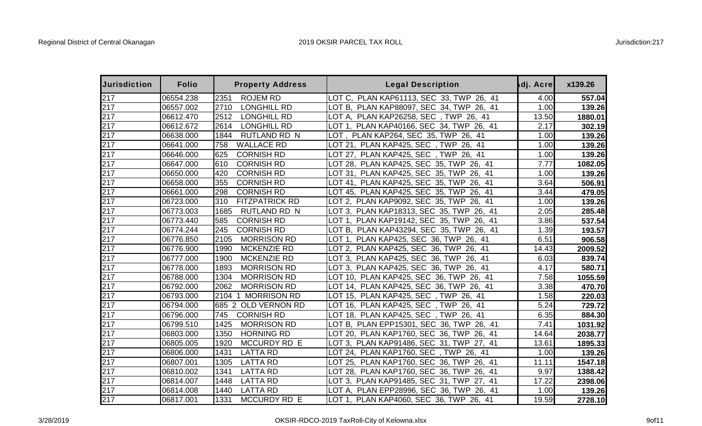| <b>Jurisdiction</b> | <b>Folio</b> | <b>Property Address</b>       | <b>Legal Description</b>                        | dj. Acre | x139.26 |
|---------------------|--------------|-------------------------------|-------------------------------------------------|----------|---------|
| 217                 | 06554.238    | <b>ROJEM RD</b><br>2351       | LOT C, PLAN KAP61113, SEC 33, TWP 26, 41        | 4.00     | 557.04  |
| 217                 | 06557.002    | 2710<br><b>LONGHILL RD</b>    | LOT B, PLAN KAP88097, SEC 34, TWP 26, 41        | 1.00     | 139.26  |
| 217                 | 06612.470    | 2512<br>LONGHILL RD           | LOT A,  PLAN KAP26258, SEC  , TWP  26,  41      | 13.50    | 1880.01 |
| 217                 | 06612.672    | <b>LONGHILL RD</b><br>2614    | LOT 1, PLAN KAP40166, SEC 34, TWP 26, 41        | 2.17     | 302.19  |
| 217                 | 06638.000    | 1844<br><b>RUTLAND RD N</b>   | LOT ,  PLAN KAP264, SEC  35, TWP  26,  41       | 1.00     | 139.26  |
| 217                 | 06641.000    | <b>WALLACE RD</b><br>758      | LOT 21, PLAN KAP425, SEC, TWP 26, 41            | 1.00     | 139.26  |
| 217                 | 06646.000    | <b>CORNISH RD</b><br>625      | LOT 27, PLAN KAP425, SEC, TWP 26, 41            | 1.00     | 139.26  |
| 217                 | 06647.000    | 610<br><b>CORNISH RD</b>      | LOT 28, PLAN KAP425, SEC 35, TWP<br>26, 41      | 7.77     | 1082.05 |
| 217                 | 06650.000    | 420<br><b>CORNISH RD</b>      | LOT 31, PLAN KAP425, SEC 35, TWP<br>26, 41      | 1.00     | 139.26  |
| 217                 | 06658.000    | 355<br><b>CORNISH RD</b>      | LOT 41, PLAN KAP425, SEC 35, TWP<br>26, 41      | 3.64     | 506.91  |
| 217                 | 06661.000    | 298<br><b>CORNISH RD</b>      | LOT 45, PLAN KAP425, SEC 35, TWP<br>26.<br>41   | 3.44     | 479.05  |
| 217                 | 06723.000    | 310<br><b>FITZPATRICK RD</b>  | LOT 2, PLAN KAP9092, SEC 35, TWP 26, 41         | 1.00     | 139.26  |
| 217                 | 06773.003    | 1685<br><b>RUTLAND RD N</b>   | LOT 3, PLAN KAP18313, SEC 35, TWP<br>26, 41     | 2.05     | 285.48  |
| 217                 | 06773.440    | 585<br><b>CORNISH RD</b>      | LOT 1, PLAN KAP19142, SEC 35, TWP 26, 41        | 3.86     | 537.54  |
| 217                 | 06774.244    | <b>CORNISH RD</b><br>245      | LOT B, PLAN KAP43294, SEC 35, TWP 26, 41        | 1.39     | 193.57  |
| 217                 | 06776.850    | 2105<br><b>MORRISON RD</b>    | LOT 1, PLAN KAP425, SEC 36, TWP 26, 41          | 6.51     | 906.58  |
| 217                 | 06776.900    | 1990<br>MCKENZIE RD           | LOT 2, PLAN KAP425, SEC 36, TWP<br>26, 41       | 14.43    | 2009.52 |
| 217                 | 06777.000    | MCKENZIE RD<br>1900           | LOT 3, PLAN KAP425, SEC 36, TWP<br>26, 41       | 6.03     | 839.74  |
| 217                 | 06778.000    | 1893<br><b>MORRISON RD</b>    | LOT 3, PLAN KAP425, SEC 36, TWP<br>41<br>26,    | 4.17     | 580.71  |
| 217                 | 06788.000    | <b>MORRISON RD</b><br>1304    | LOT 10, PLAN KAP425, SEC 36, TWP<br>26, 41      | 7.58     | 1055.59 |
| 217                 | 06792.000    | <b>MORRISON RD</b><br>2062    | LOT 14, PLAN KAP425, SEC 36, TWP<br>26, 41      | 3.38     | 470.70  |
| 217                 | 06793.000    | <b>MORRISON RD</b><br>2104    | LOT 15, PLAN KAP425, SEC, TWP 26, 41            | 1.58     | 220.03  |
| 217                 | 06794.000    | <b>OLD VERNON RD</b><br>685 2 | LOT 16, PLAN KAP425, SEC, TWP 26, 41            | 5.24     | 729.72  |
| 217                 | 06796.000    | <b>CORNISH RD</b><br>745      | LOT 18, PLAN KAP425, SEC, TWP 26, 41            | 6.35     | 884.30  |
| 217                 | 06799.510    | <b>MORRISON RD</b><br>1425    | LOT B, PLAN EPP15301, SEC 36, TWP<br>26, 41     | 7.41     | 1031.92 |
| 217                 | 06803.000    | 1350<br><b>HORNING RD</b>     | LOT 20, PLAN KAP1760, SEC 36, TWP<br>26,<br>-41 | 14.64    | 2038.77 |
| 217                 | 06805.005    | 1920<br>MCCURDY RD E          | LOT 3, PLAN KAP91486, SEC 31, TWP<br>27, 41     | 13.61    | 1895.33 |
| 217                 | 06806.000    | 1431<br><b>LATTA RD</b>       | LOT 24, PLAN KAP1760, SEC, TWP 26, 41           | 1.00     | 139.26  |
| 217                 | 06807.001    | 1305<br><b>LATTA RD</b>       | LOT 25, PLAN KAP1760, SEC 36, TWP 26, 41        | 11.11    | 1547.18 |
| 217                 | 06810.002    | 1341<br><b>LATTA RD</b>       | LOT 28, PLAN KAP1760, SEC 36, TWP<br>26, 41     | 9.97     | 1388.42 |
| 217                 | 06814.007    | 1448<br><b>LATTA RD</b>       | LOT 3, PLAN KAP91485, SEC 31, TWP<br>27, 41     | 17.22    | 2398.06 |
| 217                 | 06814.008    | 1440<br><b>LATTA RD</b>       | LOT A, PLAN EPP28996, SEC 36, TWP<br>26, 41     | 1.00     | 139.26  |
| 217                 | 06817.001    | 1331<br>MCCURDY RD E          | LOT 1, PLAN KAP4060, SEC 36, TWP 26, 41         | 19.59    | 2728.10 |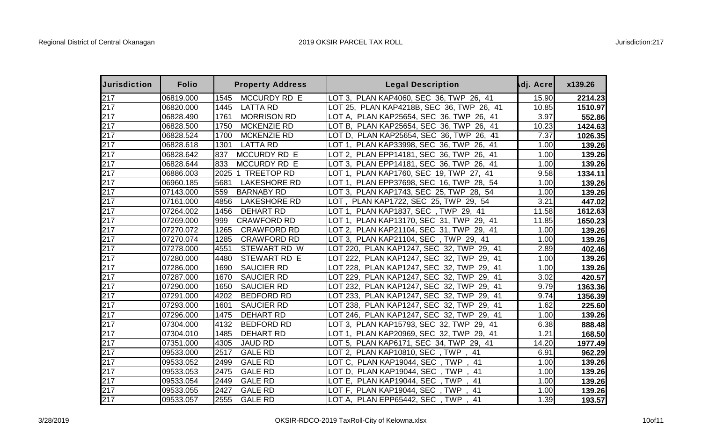| <b>Jurisdiction</b> | <b>Folio</b> | <b>Property Address</b>     | <b>Legal Description</b>                           | dj. Acre | x139.26 |
|---------------------|--------------|-----------------------------|----------------------------------------------------|----------|---------|
| 217                 | 06819.000    | 1545<br>MCCURDY RD E        | LOT 3, PLAN KAP4060, SEC 36, TWP 26, 41            | 15.90    | 2214.23 |
| 217                 | 06820.000    | 1445<br><b>LATTA RD</b>     | LOT 25, PLAN KAP4218B, SEC 36, TWP 26, 41          | 10.85    | 1510.97 |
| 217                 | 06828.490    | <b>MORRISON RD</b><br>1761  | LOT A, PLAN KAP25654, SEC 36, TWP<br>26, 41        | 3.97     | 552.86  |
| 217                 | 06828.500    | 1750<br>MCKENZIE RD         | LOT B, PLAN KAP25654, SEC 36, TWP<br>26, 41        | 10.23    | 1424.63 |
| 217                 | 06828.524    | <b>MCKENZIE RD</b><br>1700  | PLAN KAP25654, SEC 36, TWP<br>26, 41<br>LOT D.     | 7.37     | 1026.35 |
| $\overline{2}17$    | 06828.618    | 1301<br><b>LATTA RD</b>     | PLAN KAP33998, SEC 36, TWP<br>LOT 1.<br>26, 41     | 1.00     | 139.26  |
| 217                 | 06828.642    | 837<br>MCCURDY RD E         | LOT 2, PLAN EPP14181, SEC 36, TWP<br>26, 41        | 1.00     | 139.26  |
| 217                 | 06828.644    | 833<br>MCCURDY RD E         | LOT 3, PLAN EPP14181, SEC 36, TWP<br>26, 41        | 1.00     | 139.26  |
| 217                 | 06886.003    | 1 TREETOP RD<br>2025        | PLAN KAP1760, SEC 19, TWP<br>LOT 1.<br>27, 41      | 9.58     | 1334.11 |
| 217                 | 06960.185    | <b>LAKESHORE RD</b><br>5681 | LOT 1, PLAN EPP37698, SEC 16, TWP<br>28, 54        | 1.00     | 139.26  |
| 217                 | 07143.000    | <b>BARNABY RD</b><br>559    | LOT 3, PLAN KAP1743, SEC 25, TWP 28, 54            | 1.00     | 139.26  |
| 217                 | 07161.000    | 4856<br><b>LAKESHORE RD</b> | LOT, PLAN KAP1722, SEC 25, TWP 29, 54              | 3.21     | 447.02  |
| 217                 | 07264.002    | 1456<br><b>DEHART RD</b>    | PLAN KAP1837, SEC, TWP 29, 41<br>LOT 1.            | 11.58    | 1612.63 |
| 217                 | 07269.000    | 999<br><b>CRAWFORD RD</b>   | LOT 1, PLAN KAP13170, SEC 31, TWP 29, 41           | 11.85    | 1650.23 |
| 217                 | 07270.072    | 1265<br><b>CRAWFORD RD</b>  | LOT 2, PLAN KAP21104, SEC 31, TWP 29, 41           | 1.00     | 139.26  |
| 217                 | 07270.074    | 1285<br><b>CRAWFORD RD</b>  | LOT 3, PLAN KAP21104, SEC, TWP 29, 41              | 1.00     | 139.26  |
| 217                 | 07278.000    | 4551<br>STEWART RD W        | LOT 220, PLAN KAP1247, SEC 32, TWP 29, 41          | 2.89     | 402.46  |
| 217                 | 07280.000    | STEWART RD E<br>4480        | PLAN KAP1247, SEC 32, TWP 29,<br>41<br>LOT 222.    | 1.00     | 139.26  |
| 217                 | 07286.000    | <b>SAUCIER RD</b><br>1690   | PLAN KAP1247, SEC 32, TWP<br>LOT 228,<br>29,<br>41 | 1.00     | 139.26  |
| 217                 | 07287.000    | <b>SAUCIER RD</b><br>1670   | PLAN KAP1247, SEC 32, TWP<br>41<br>LOT 229.<br>29. | 3.02     | 420.57  |
| 217                 | 07290.000    | 1650<br><b>SAUCIER RD</b>   | PLAN KAP1247, SEC 32, TWP<br>LOT 232,<br>29,<br>41 | 9.79     | 1363.36 |
| 217                 | 07291.000    | 4202<br><b>BEDFORD RD</b>   | PLAN KAP1247, SEC 32, TWP<br>LOT 233,<br>29,<br>41 | 9.74     | 1356.39 |
| 217                 | 07293.000    | 1601<br><b>SAUCIER RD</b>   | LOT 238, PLAN KAP1247, SEC 32, TWP<br>29,<br>41    | 1.62     | 225.60  |
| 217                 | 07296.000    | 1475<br><b>DEHART RD</b>    | LOT 246, PLAN KAP1247, SEC 32, TWP 29, 41          | 1.00     | 139.26  |
| 217                 | 07304.000    | 4132<br><b>BEDFORD RD</b>   | LOT 3, PLAN KAP15793, SEC 32, TWP<br>29, 41        | 6.38     | 888.48  |
| 217                 | 07304.010    | <b>DEHART RD</b><br>1485    | LOT 1, PLAN KAP20969, SEC 32, TWP 29, 41           | 1.21     | 168.50  |
| 217                 | 07351.000    | 4305<br><b>JAUD RD</b>      | LOT 5, PLAN KAP6171, SEC 34, TWP 29, 41            | 14.20    | 1977.49 |
| 217                 | 09533.000    | 2517<br><b>GALE RD</b>      | LOT 2, PLAN KAP10810, SEC, TWP<br>41               | 6.91     | 962.29  |
| 217                 | 09533.052    | 2499<br><b>GALE RD</b>      | LOT C, PLAN KAP19044, SEC, TWP<br>.41              | 1.00     | 139.26  |
| 217                 | 09533.053    | 2475<br><b>GALE RD</b>      | LOT D, PLAN KAP19044, SEC, TWP<br>41               | 1.00     | 139.26  |
| 217                 | 09533.054    | 2449<br><b>GALE RD</b>      | LOT E, PLAN KAP19044, SEC<br>. TWP<br>.41          | 1.00     | 139.26  |
| 217                 | 09533.055    | 2427<br><b>GALE RD</b>      | LOT F, PLAN KAP19044, SEC<br>. TWP<br>41           | 1.00     | 139.26  |
| 217                 | 09533.057    | 2555<br><b>GALE RD</b>      | LOT A, PLAN EPP65442, SEC<br>. TWP<br>41           | 1.39     | 193.57  |